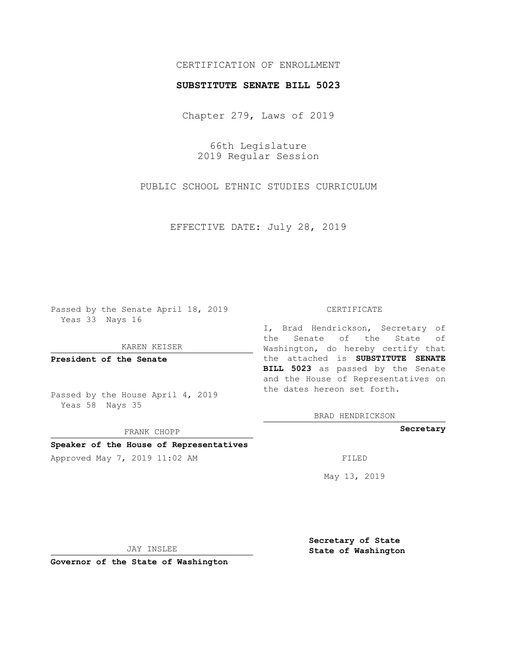## CERTIFICATION OF ENROLLMENT

## **SUBSTITUTE SENATE BILL 5023**

Chapter 279, Laws of 2019

66th Legislature 2019 Regular Session

PUBLIC SCHOOL ETHNIC STUDIES CURRICULUM

EFFECTIVE DATE: July 28, 2019

Passed by the Senate April 18, 2019 Yeas 33 Nays 16

KAREN KEISER

**President of the Senate**

Passed by the House April 4, 2019 Yeas 58 Nays 35

FRANK CHOPP

## **Speaker of the House of Representatives**

Approved May 7, 2019 11:02 AM FILED

#### CERTIFICATE

I, Brad Hendrickson, Secretary of the Senate of the State of Washington, do hereby certify that the attached is **SUBSTITUTE SENATE BILL 5023** as passed by the Senate and the House of Representatives on the dates hereon set forth.

BRAD HENDRICKSON

**Secretary**

May 13, 2019

JAY INSLEE

**Governor of the State of Washington**

**Secretary of State State of Washington**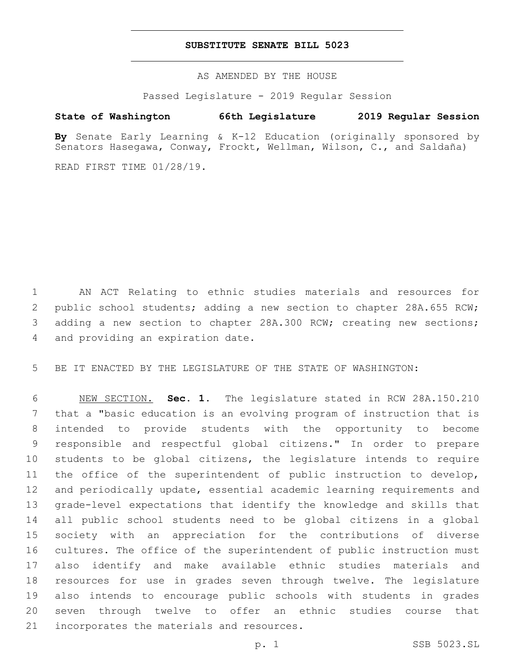## **SUBSTITUTE SENATE BILL 5023**

AS AMENDED BY THE HOUSE

Passed Legislature - 2019 Regular Session

# **State of Washington 66th Legislature 2019 Regular Session**

**By** Senate Early Learning & K-12 Education (originally sponsored by Senators Hasegawa, Conway, Frockt, Wellman, Wilson, C., and Saldaña)

READ FIRST TIME 01/28/19.

 AN ACT Relating to ethnic studies materials and resources for public school students; adding a new section to chapter 28A.655 RCW; adding a new section to chapter 28A.300 RCW; creating new sections; 4 and providing an expiration date.

BE IT ENACTED BY THE LEGISLATURE OF THE STATE OF WASHINGTON:

 NEW SECTION. **Sec. 1.** The legislature stated in RCW 28A.150.210 that a "basic education is an evolving program of instruction that is intended to provide students with the opportunity to become responsible and respectful global citizens." In order to prepare students to be global citizens, the legislature intends to require the office of the superintendent of public instruction to develop, and periodically update, essential academic learning requirements and grade-level expectations that identify the knowledge and skills that all public school students need to be global citizens in a global society with an appreciation for the contributions of diverse cultures. The office of the superintendent of public instruction must also identify and make available ethnic studies materials and resources for use in grades seven through twelve. The legislature also intends to encourage public schools with students in grades seven through twelve to offer an ethnic studies course that incorporates the materials and resources.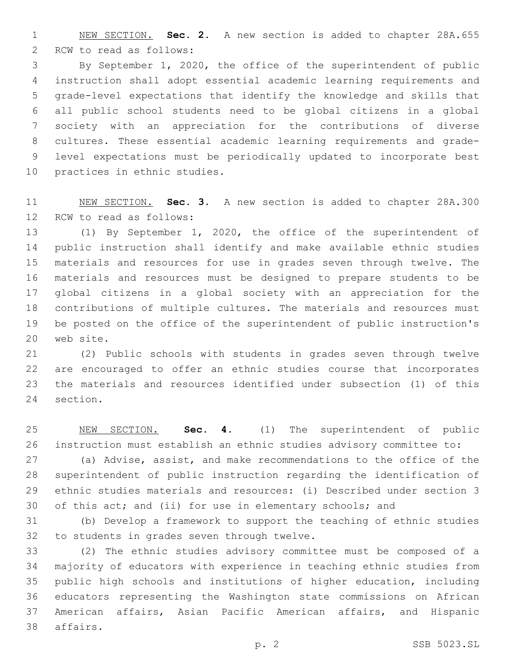NEW SECTION. **Sec. 2.** A new section is added to chapter 28A.655 2 RCW to read as follows:

 By September 1, 2020, the office of the superintendent of public instruction shall adopt essential academic learning requirements and grade-level expectations that identify the knowledge and skills that all public school students need to be global citizens in a global society with an appreciation for the contributions of diverse cultures. These essential academic learning requirements and grade- level expectations must be periodically updated to incorporate best 10 practices in ethnic studies.

 NEW SECTION. **Sec. 3.** A new section is added to chapter 28A.300 12 RCW to read as follows:

 (1) By September 1, 2020, the office of the superintendent of public instruction shall identify and make available ethnic studies materials and resources for use in grades seven through twelve. The materials and resources must be designed to prepare students to be global citizens in a global society with an appreciation for the contributions of multiple cultures. The materials and resources must be posted on the office of the superintendent of public instruction's 20 web site.

 (2) Public schools with students in grades seven through twelve are encouraged to offer an ethnic studies course that incorporates the materials and resources identified under subsection (1) of this 24 section.

 NEW SECTION. **Sec. 4.** (1) The superintendent of public instruction must establish an ethnic studies advisory committee to:

 (a) Advise, assist, and make recommendations to the office of the superintendent of public instruction regarding the identification of ethnic studies materials and resources: (i) Described under section 3 30 of this act; and (ii) for use in elementary schools; and

 (b) Develop a framework to support the teaching of ethnic studies 32 to students in grades seven through twelve.

 (2) The ethnic studies advisory committee must be composed of a majority of educators with experience in teaching ethnic studies from public high schools and institutions of higher education, including educators representing the Washington state commissions on African American affairs, Asian Pacific American affairs, and Hispanic 38 affairs.